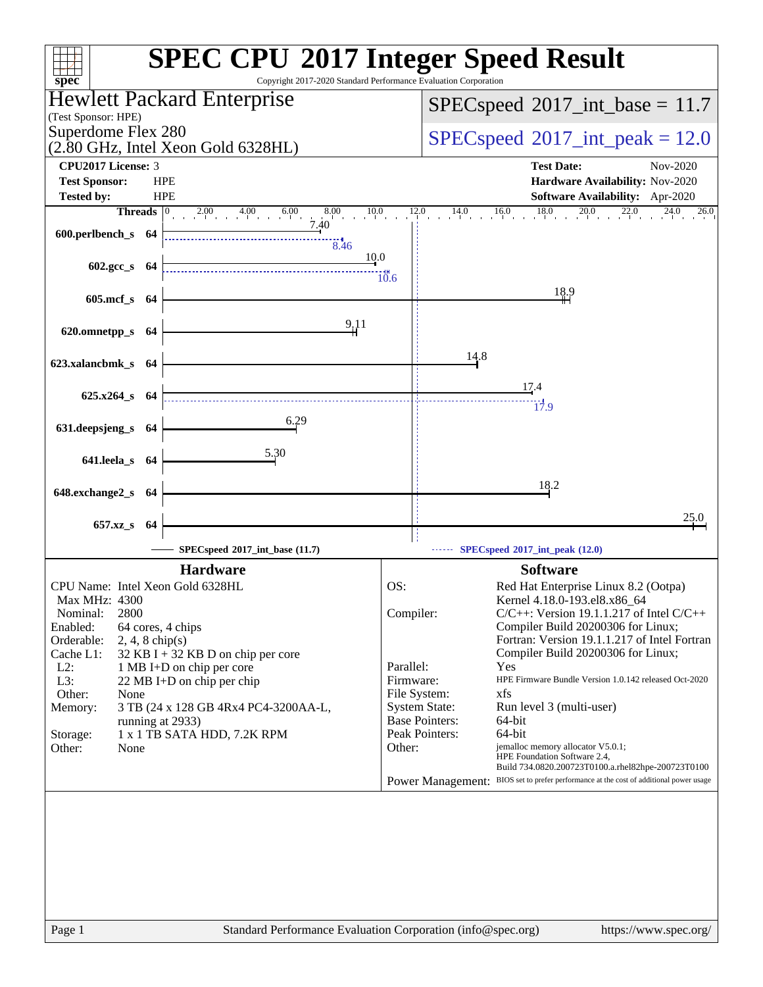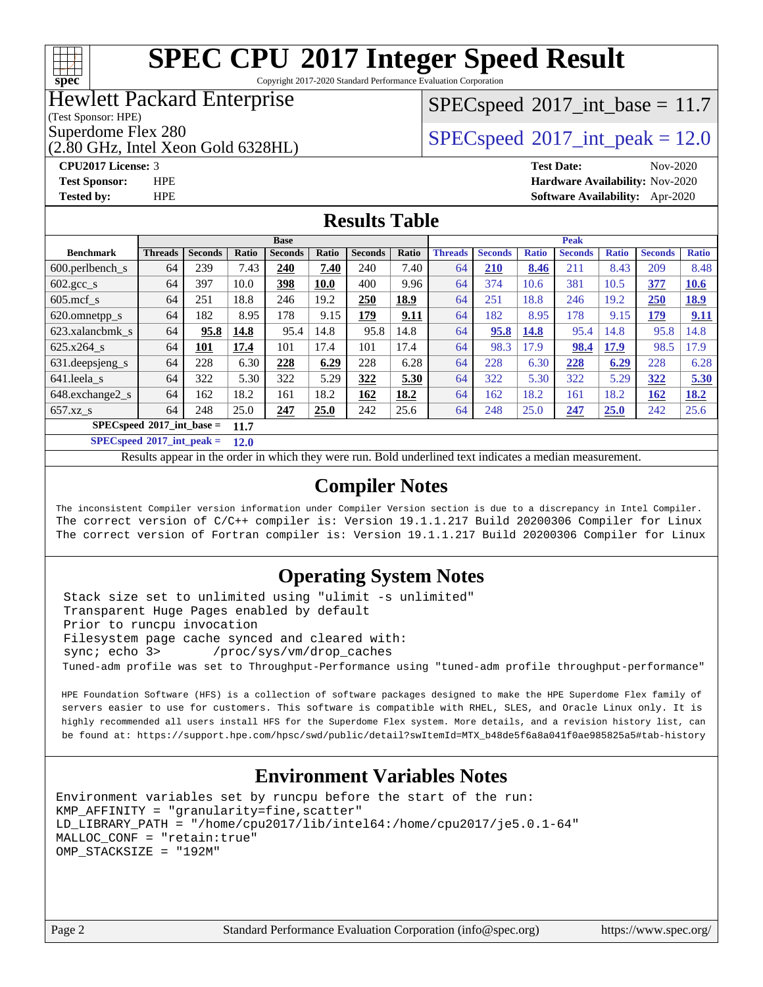

Copyright 2017-2020 Standard Performance Evaluation Corporation

### Hewlett Packard Enterprise

(Test Sponsor: HPE)

(2.80 GHz, Intel Xeon Gold 6328HL)

 $SPECspeed^{\circ}2017\_int\_base = 11.7$  $SPECspeed^{\circ}2017\_int\_base = 11.7$ 

Superdome Flex 280<br>  $SPEC speed^{\circ}2017$  int\_peak = 12.0

**[Tested by:](http://www.spec.org/auto/cpu2017/Docs/result-fields.html#Testedby)** HPE **[Software Availability:](http://www.spec.org/auto/cpu2017/Docs/result-fields.html#SoftwareAvailability)** Apr-2020

#### **[CPU2017 License:](http://www.spec.org/auto/cpu2017/Docs/result-fields.html#CPU2017License)** 3 **[Test Date:](http://www.spec.org/auto/cpu2017/Docs/result-fields.html#TestDate)** Nov-2020 **[Test Sponsor:](http://www.spec.org/auto/cpu2017/Docs/result-fields.html#TestSponsor)** HPE **[Hardware Availability:](http://www.spec.org/auto/cpu2017/Docs/result-fields.html#HardwareAvailability)** Nov-2020

**[Results Table](http://www.spec.org/auto/cpu2017/Docs/result-fields.html#ResultsTable)**

|                                       | <b>Base</b>    |                |              |                |             | <b>Peak</b>    |       |                |                |              |                |              |                |              |
|---------------------------------------|----------------|----------------|--------------|----------------|-------------|----------------|-------|----------------|----------------|--------------|----------------|--------------|----------------|--------------|
| <b>Benchmark</b>                      | <b>Threads</b> | <b>Seconds</b> | <b>Ratio</b> | <b>Seconds</b> | Ratio       | <b>Seconds</b> | Ratio | <b>Threads</b> | <b>Seconds</b> | <b>Ratio</b> | <b>Seconds</b> | <b>Ratio</b> | <b>Seconds</b> | <b>Ratio</b> |
| $600.$ perlbench $\mathsf{S}$         | 64             | 239            | 7.43         | 240            | 7.40        | 240            | 7.40  | 64             | 210            | 8.46         | 211            | 8.43         | 209            | 8.48         |
| 602.gcc_s                             | 64             | 397            | 10.0         | 398            | <b>10.0</b> | 400            | 9.96  | 64             | 374            | 10.6         | 381            | 10.5         | 377            | 10.6         |
| $605 \text{.mcf}$ s                   | 64             | 251            | 18.8         | 246            | 19.2        | 250            | 18.9  | 64             | 251            | 18.8         | 246            | 19.2         | 250            | <u>18.9</u>  |
| 620.omnetpp_s                         | 64             | 182            | 8.95         | 178            | 9.15        | 179            | 9.11  | 64             | 182            | 8.95         | 178            | 9.15         | 179            | 9.11         |
| 623.xalancbmk s                       | 64             | 95.8           | 14.8         | 95.4           | 14.8        | 95.8           | 14.8  | 64             | 95.8           | 14.8         | 95.4           | 14.8         | 95.8           | 14.8         |
| 625.x264 s                            | 64             | 101            | 17.4         | 101            | 17.4        | 101            | 17.4  | 64             | 98.3           | 17.9         | 98.4           | 17.9         | 98.5           | 17.9         |
| 631.deepsjeng_s                       | 64             | 228            | 6.30         | 228            | 6.29        | 228            | 6.28  | 64             | 228            | 6.30         | 228            | 6.29         | 228            | 6.28         |
| 641.leela s                           | 64             | 322            | 5.30         | 322            | 5.29        | 322            | 5.30  | 64             | 322            | 5.30         | 322            | 5.29         | 322            | 5.30         |
| 648.exchange2_s                       | 64             | 162            | 18.2         | 161            | 18.2        | 162            | 18.2  | 64             | 162            | 18.2         | 161            | 18.2         | <u>162</u>     | <u>18.2</u>  |
| $657.xz$ s                            | 64             | 248            | 25.0         | 247            | 25.0        | 242            | 25.6  | 64             | 248            | 25.0         | 247            | 25.0         | 242            | 25.6         |
| $SPECspeed*2017\_int\_base =$<br>11.7 |                |                |              |                |             |                |       |                |                |              |                |              |                |              |

**[SPECspeed](http://www.spec.org/auto/cpu2017/Docs/result-fields.html#SPECspeed2017intpeak)[2017\\_int\\_peak =](http://www.spec.org/auto/cpu2017/Docs/result-fields.html#SPECspeed2017intpeak) 12.0**

Results appear in the [order in which they were run.](http://www.spec.org/auto/cpu2017/Docs/result-fields.html#RunOrder) Bold underlined text [indicates a median measurement](http://www.spec.org/auto/cpu2017/Docs/result-fields.html#Median).

### **[Compiler Notes](http://www.spec.org/auto/cpu2017/Docs/result-fields.html#CompilerNotes)**

The inconsistent Compiler version information under Compiler Version section is due to a discrepancy in Intel Compiler. The correct version of C/C++ compiler is: Version 19.1.1.217 Build 20200306 Compiler for Linux The correct version of Fortran compiler is: Version 19.1.1.217 Build 20200306 Compiler for Linux

### **[Operating System Notes](http://www.spec.org/auto/cpu2017/Docs/result-fields.html#OperatingSystemNotes)**

 Stack size set to unlimited using "ulimit -s unlimited" Transparent Huge Pages enabled by default Prior to runcpu invocation Filesystem page cache synced and cleared with: sync; echo 3> /proc/sys/vm/drop\_caches Tuned-adm profile was set to Throughput-Performance using "tuned-adm profile throughput-performance"

 HPE Foundation Software (HFS) is a collection of software packages designed to make the HPE Superdome Flex family of servers easier to use for customers. This software is compatible with RHEL, SLES, and Oracle Linux only. It is highly recommended all users install HFS for the Superdome Flex system. More details, and a revision history list, can be found at: [https://support.hpe.com/hpsc/swd/public/detail?swItemId=MTX\\_b48de5f6a8a041f0ae985825a5#tab-history](https://support.hpe.com/hpsc/swd/public/detail?swItemId=MTX_b48de5f6a8a041f0ae985825a5#tab-history)

### **[Environment Variables Notes](http://www.spec.org/auto/cpu2017/Docs/result-fields.html#EnvironmentVariablesNotes)**

```
Environment variables set by runcpu before the start of the run:
KMP_AFFINITY = "granularity=fine,scatter"
LD_LIBRARY_PATH = "/home/cpu2017/lib/intel64:/home/cpu2017/je5.0.1-64"
MALLOC_CONF = "retain:true"
OMP_STACKSIZE = "192M"
```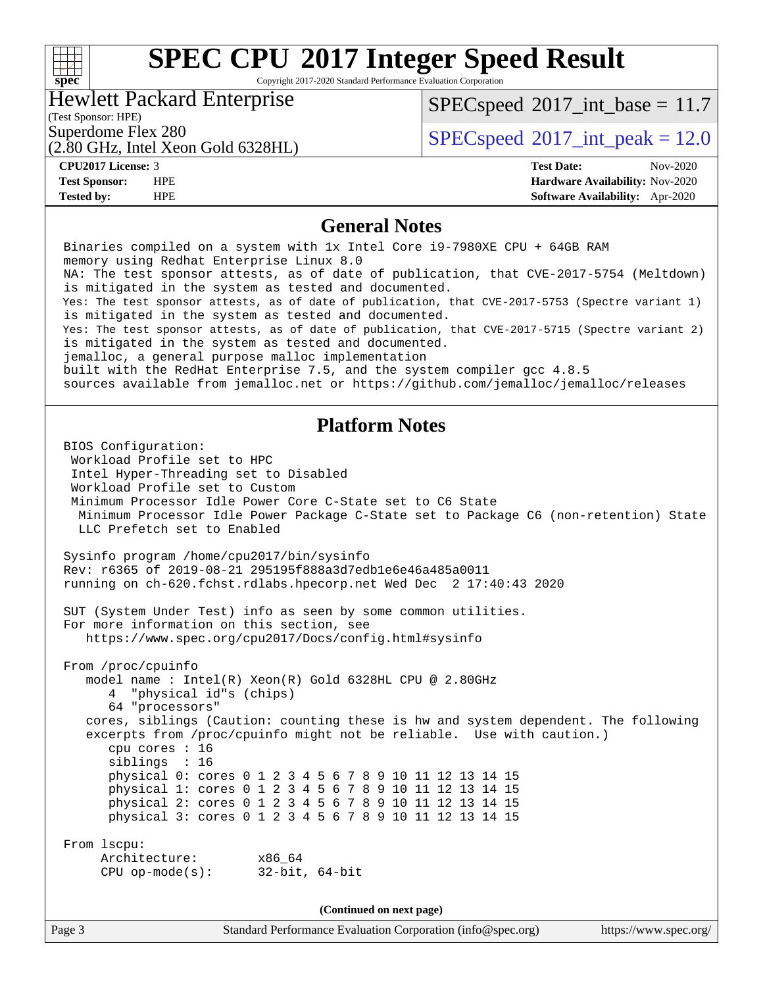#### **[SPEC CPU](http://www.spec.org/auto/cpu2017/Docs/result-fields.html#SPECCPU2017IntegerSpeedResult)[2017 Integer Speed Result](http://www.spec.org/auto/cpu2017/Docs/result-fields.html#SPECCPU2017IntegerSpeedResult)**  $+\,$ H **[spec](http://www.spec.org/)** Copyright 2017-2020 Standard Performance Evaluation Corporation Hewlett Packard Enterprise  $SPECspeed^{\circ}2017\_int\_base = 11.7$  $SPECspeed^{\circ}2017\_int\_base = 11.7$ (Test Sponsor: HPE) Superdome Flex 280<br>  $\text{SPEC speed}$ <sup>®</sup>[2017\\_int\\_peak = 1](http://www.spec.org/auto/cpu2017/Docs/result-fields.html#SPECspeed2017intpeak)2.0 (2.80 GHz, Intel Xeon Gold 6328HL) **[CPU2017 License:](http://www.spec.org/auto/cpu2017/Docs/result-fields.html#CPU2017License)** 3 **[Test Date:](http://www.spec.org/auto/cpu2017/Docs/result-fields.html#TestDate)** Nov-2020 **[Test Sponsor:](http://www.spec.org/auto/cpu2017/Docs/result-fields.html#TestSponsor)** HPE **[Hardware Availability:](http://www.spec.org/auto/cpu2017/Docs/result-fields.html#HardwareAvailability)** Nov-2020 **[Tested by:](http://www.spec.org/auto/cpu2017/Docs/result-fields.html#Testedby)** HPE **[Software Availability:](http://www.spec.org/auto/cpu2017/Docs/result-fields.html#SoftwareAvailability)** Apr-2020 **[General Notes](http://www.spec.org/auto/cpu2017/Docs/result-fields.html#GeneralNotes)** Binaries compiled on a system with 1x Intel Core i9-7980XE CPU + 64GB RAM memory using Redhat Enterprise Linux 8.0 NA: The test sponsor attests, as of date of publication, that CVE-2017-5754 (Meltdown) is mitigated in the system as tested and documented. Yes: The test sponsor attests, as of date of publication, that CVE-2017-5753 (Spectre variant 1) is mitigated in the system as tested and documented. Yes: The test sponsor attests, as of date of publication, that CVE-2017-5715 (Spectre variant 2) is mitigated in the system as tested and documented. jemalloc, a general purpose malloc implementation built with the RedHat Enterprise 7.5, and the system compiler gcc 4.8.5 sources available from jemalloc.net or<https://github.com/jemalloc/jemalloc/releases> **[Platform Notes](http://www.spec.org/auto/cpu2017/Docs/result-fields.html#PlatformNotes)** BIOS Configuration: Workload Profile set to HPC Intel Hyper-Threading set to Disabled Workload Profile set to Custom Minimum Processor Idle Power Core C-State set to C6 State Minimum Processor Idle Power Package C-State set to Package C6 (non-retention) State LLC Prefetch set to Enabled Sysinfo program /home/cpu2017/bin/sysinfo Rev: r6365 of 2019-08-21 295195f888a3d7edb1e6e46a485a0011 running on ch-620.fchst.rdlabs.hpecorp.net Wed Dec 2 17:40:43 2020 SUT (System Under Test) info as seen by some common utilities. For more information on this section, see <https://www.spec.org/cpu2017/Docs/config.html#sysinfo> From /proc/cpuinfo model name : Intel(R) Xeon(R) Gold 6328HL CPU @ 2.80GHz 4 "physical id"s (chips) 64 "processors" cores, siblings (Caution: counting these is hw and system dependent. The following excerpts from /proc/cpuinfo might not be reliable. Use with caution.) cpu cores : 16 siblings : 16 physical 0: cores 0 1 2 3 4 5 6 7 8 9 10 11 12 13 14 15 physical 1: cores 0 1 2 3 4 5 6 7 8 9 10 11 12 13 14 15 physical 2: cores 0 1 2 3 4 5 6 7 8 9 10 11 12 13 14 15 physical 3: cores 0 1 2 3 4 5 6 7 8 9 10 11 12 13 14 15 From lscpu: Architecture: x86\_64 CPU op-mode(s): 32-bit, 64-bit

**(Continued on next page)**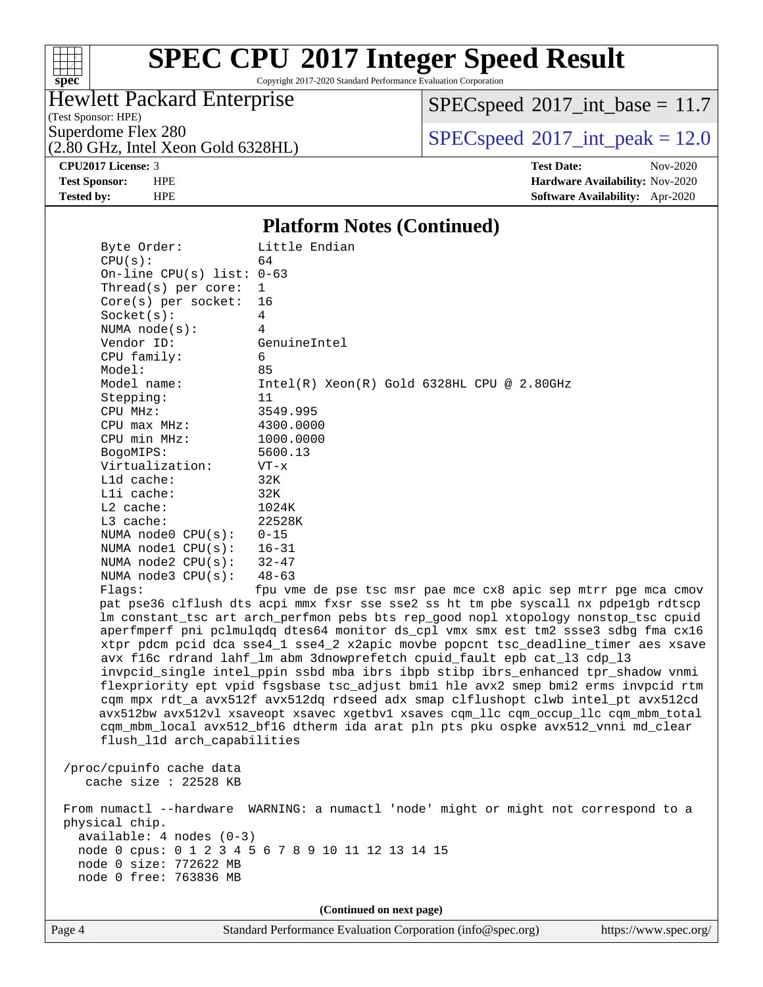

Copyright 2017-2020 Standard Performance Evaluation Corporation

### Hewlett Packard Enterprise

(2.80 GHz, Intel Xeon Gold 6328HL)

(Test Sponsor: HPE)

 $SPECspeed^{\circ}2017\_int\_base = 11.7$  $SPECspeed^{\circ}2017\_int\_base = 11.7$ 

Superdome Flex 280<br>  $SPEC speed^{\circ}2017$ \_int\_peak = 12.0

**[Tested by:](http://www.spec.org/auto/cpu2017/Docs/result-fields.html#Testedby)** HPE **[Software Availability:](http://www.spec.org/auto/cpu2017/Docs/result-fields.html#SoftwareAvailability)** Apr-2020

**[CPU2017 License:](http://www.spec.org/auto/cpu2017/Docs/result-fields.html#CPU2017License)** 3 **[Test Date:](http://www.spec.org/auto/cpu2017/Docs/result-fields.html#TestDate)** Nov-2020 **[Test Sponsor:](http://www.spec.org/auto/cpu2017/Docs/result-fields.html#TestSponsor)** HPE **[Hardware Availability:](http://www.spec.org/auto/cpu2017/Docs/result-fields.html#HardwareAvailability)** Nov-2020

### **[Platform Notes \(Continued\)](http://www.spec.org/auto/cpu2017/Docs/result-fields.html#PlatformNotes)**

 Byte Order: Little Endian  $CPU(s):$  64 On-line CPU(s) list: 0-63 Thread(s) per core: 1 Core(s) per socket: 16 Socket(s): 4 NUMA node(s): 4 Vendor ID: GenuineIntel CPU family: 6 Model: 85 Model name: Intel(R) Xeon(R) Gold 6328HL CPU @ 2.80GHz Stepping: 11 CPU MHz: 3549.995 CPU max MHz: 4300.0000 CPU min MHz: 1000.0000 BogoMIPS: 5600.13 Virtualization: VT-x L1d cache: 32K L1i cache: 32K L2 cache: 1024K L3 cache: 22528K NUMA node0 CPU(s): 0-15 NUMA node1 CPU(s): 16-31 NUMA node2 CPU(s): 32-47 NUMA node3 CPU(s): 48-63 Flags: fpu vme de pse tsc msr pae mce cx8 apic sep mtrr pge mca cmov pat pse36 clflush dts acpi mmx fxsr sse sse2 ss ht tm pbe syscall nx pdpe1gb rdtscp lm constant\_tsc art arch\_perfmon pebs bts rep\_good nopl xtopology nonstop\_tsc cpuid aperfmperf pni pclmulqdq dtes64 monitor ds\_cpl vmx smx est tm2 ssse3 sdbg fma cx16 xtpr pdcm pcid dca sse4\_1 sse4\_2 x2apic movbe popcnt tsc\_deadline\_timer aes xsave avx f16c rdrand lahf\_lm abm 3dnowprefetch cpuid\_fault epb cat\_l3 cdp\_l3 invpcid\_single intel\_ppin ssbd mba ibrs ibpb stibp ibrs\_enhanced tpr\_shadow vnmi flexpriority ept vpid fsgsbase tsc\_adjust bmi1 hle avx2 smep bmi2 erms invpcid rtm cqm mpx rdt\_a avx512f avx512dq rdseed adx smap clflushopt clwb intel\_pt avx512cd avx512bw avx512vl xsaveopt xsavec xgetbv1 xsaves cqm\_llc cqm\_occup\_llc cqm\_mbm\_total cqm\_mbm\_local avx512\_bf16 dtherm ida arat pln pts pku ospke avx512\_vnni md\_clear flush\_l1d arch\_capabilities /proc/cpuinfo cache data cache size : 22528 KB From numactl --hardware WARNING: a numactl 'node' might or might not correspond to a physical chip.

 available: 4 nodes (0-3) node 0 cpus: 0 1 2 3 4 5 6 7 8 9 10 11 12 13 14 15 node 0 size: 772622 MB

node 0 free: 763836 MB

**(Continued on next page)**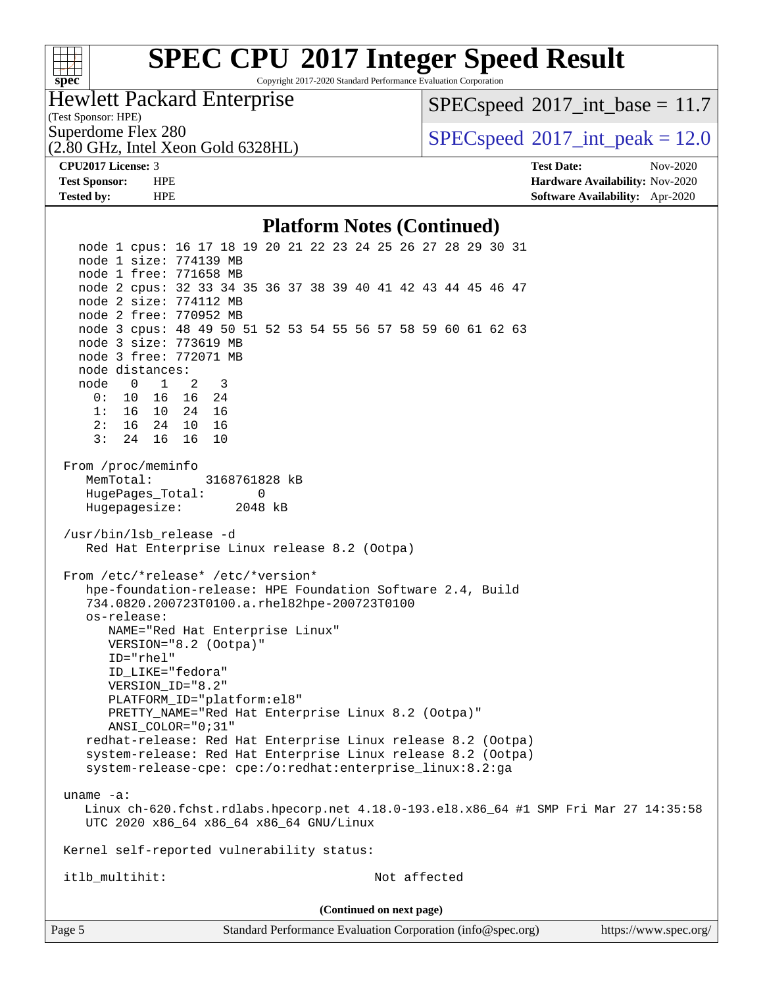#### **[SPEC CPU](http://www.spec.org/auto/cpu2017/Docs/result-fields.html#SPECCPU2017IntegerSpeedResult)[2017 Integer Speed Result](http://www.spec.org/auto/cpu2017/Docs/result-fields.html#SPECCPU2017IntegerSpeedResult)**  $+\!\!+\!\!$ **[spec](http://www.spec.org/)** Copyright 2017-2020 Standard Performance Evaluation Corporation Hewlett Packard Enterprise  $SPECspeed^{\circ}2017\_int\_base = 11.7$  $SPECspeed^{\circ}2017\_int\_base = 11.7$ (Test Sponsor: HPE) Superdome Flex 280<br>  $SPECspeed^{\circ}2017$  $SPECspeed^{\circ}2017$ \_int\_peak = 12.0 (2.80 GHz, Intel Xeon Gold 6328HL) **[CPU2017 License:](http://www.spec.org/auto/cpu2017/Docs/result-fields.html#CPU2017License)** 3 **[Test Date:](http://www.spec.org/auto/cpu2017/Docs/result-fields.html#TestDate)** Nov-2020 **[Test Sponsor:](http://www.spec.org/auto/cpu2017/Docs/result-fields.html#TestSponsor)** HPE **[Hardware Availability:](http://www.spec.org/auto/cpu2017/Docs/result-fields.html#HardwareAvailability)** Nov-2020 **[Tested by:](http://www.spec.org/auto/cpu2017/Docs/result-fields.html#Testedby)** HPE **[Software Availability:](http://www.spec.org/auto/cpu2017/Docs/result-fields.html#SoftwareAvailability)** Apr-2020 **[Platform Notes \(Continued\)](http://www.spec.org/auto/cpu2017/Docs/result-fields.html#PlatformNotes)** node 1 cpus: 16 17 18 19 20 21 22 23 24 25 26 27 28 29 30 31 node 1 size: 774139 MB node 1 free: 771658 MB node 2 cpus: 32 33 34 35 36 37 38 39 40 41 42 43 44 45 46 47 node 2 size: 774112 MB node 2 free: 770952 MB node 3 cpus: 48 49 50 51 52 53 54 55 56 57 58 59 60 61 62 63 node 3 size: 773619 MB node 3 free: 772071 MB node distances: node 0 1 2 3 0: 10 16 16 24 1: 16 10 24 16 2: 16 24 10 16 3: 24 16 16 10 From /proc/meminfo MemTotal: 3168761828 kB HugePages\_Total: 0 Hugepagesize: 2048 kB /usr/bin/lsb\_release -d Red Hat Enterprise Linux release 8.2 (Ootpa) From /etc/\*release\* /etc/\*version\* hpe-foundation-release: HPE Foundation Software 2.4, Build 734.0820.200723T0100.a.rhel82hpe-200723T0100 os-release: NAME="Red Hat Enterprise Linux" VERSION="8.2 (Ootpa)" ID="rhel" ID\_LIKE="fedora" VERSION\_ID="8.2" PLATFORM\_ID="platform:el8" PRETTY\_NAME="Red Hat Enterprise Linux 8.2 (Ootpa)" ANSI\_COLOR="0;31" redhat-release: Red Hat Enterprise Linux release 8.2 (Ootpa) system-release: Red Hat Enterprise Linux release 8.2 (Ootpa) system-release-cpe: cpe:/o:redhat:enterprise\_linux:8.2:ga uname -a: Linux ch-620.fchst.rdlabs.hpecorp.net 4.18.0-193.el8.x86\_64 #1 SMP Fri Mar 27 14:35:58 UTC 2020 x86\_64 x86\_64 x86\_64 GNU/Linux Kernel self-reported vulnerability status:

itlb\_multihit: Not affected

**(Continued on next page)**

Page 5 Standard Performance Evaluation Corporation [\(info@spec.org\)](mailto:info@spec.org) <https://www.spec.org/>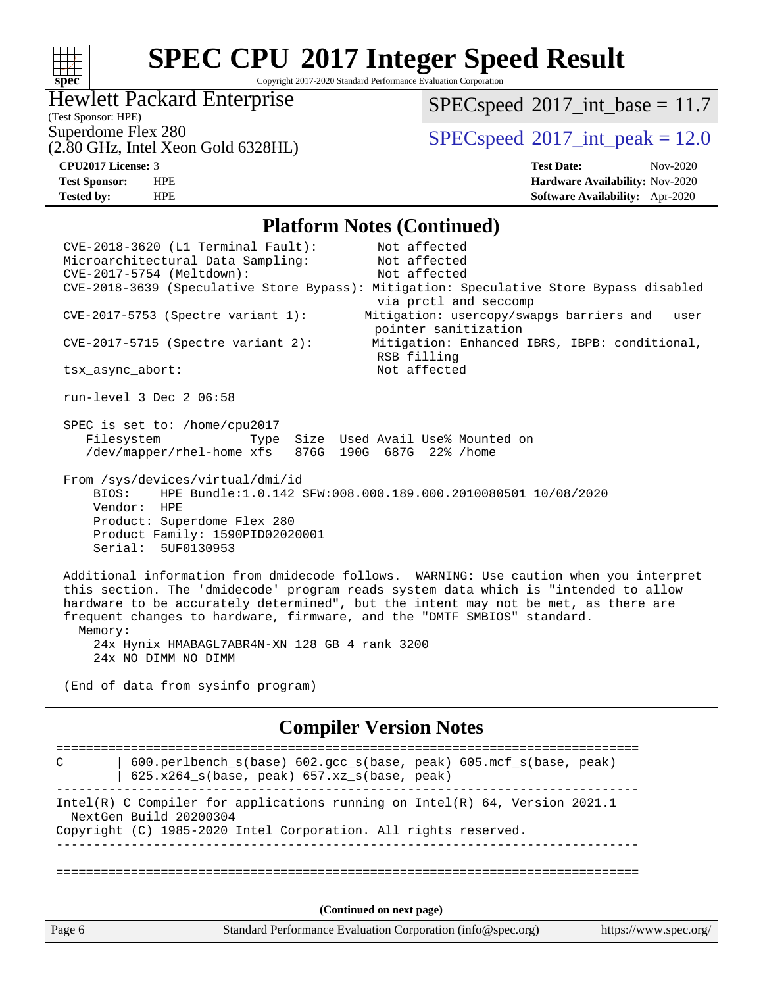### $+\,$ H **[spec](http://www.spec.org/)**

# **[SPEC CPU](http://www.spec.org/auto/cpu2017/Docs/result-fields.html#SPECCPU2017IntegerSpeedResult)[2017 Integer Speed Result](http://www.spec.org/auto/cpu2017/Docs/result-fields.html#SPECCPU2017IntegerSpeedResult)**

Copyright 2017-2020 Standard Performance Evaluation Corporation

### Hewlett Packard Enterprise

 $SPECspeed^{\circledcirc}2017\_int\_base = 11.7$  $SPECspeed^{\circledcirc}2017\_int\_base = 11.7$ 

(Test Sponsor: HPE)

(2.80 GHz, Intel Xeon Gold 6328HL)

Superdome Flex 280<br>  $SPEC speed^{\circ}2017$  int\_peak = 12.0

**[CPU2017 License:](http://www.spec.org/auto/cpu2017/Docs/result-fields.html#CPU2017License)** 3 **[Test Date:](http://www.spec.org/auto/cpu2017/Docs/result-fields.html#TestDate)** Nov-2020 **[Test Sponsor:](http://www.spec.org/auto/cpu2017/Docs/result-fields.html#TestSponsor)** HPE **[Hardware Availability:](http://www.spec.org/auto/cpu2017/Docs/result-fields.html#HardwareAvailability)** Nov-2020 **[Tested by:](http://www.spec.org/auto/cpu2017/Docs/result-fields.html#Testedby)** HPE **[Software Availability:](http://www.spec.org/auto/cpu2017/Docs/result-fields.html#SoftwareAvailability)** Apr-2020

### **[Platform Notes \(Continued\)](http://www.spec.org/auto/cpu2017/Docs/result-fields.html#PlatformNotes)**

Page 6 Standard Performance Evaluation Corporation [\(info@spec.org\)](mailto:info@spec.org) <https://www.spec.org/> CVE-2018-3620 (L1 Terminal Fault): Not affected Microarchitectural Data Sampling: Not affected CVE-2017-5754 (Meltdown): Not affected CVE-2018-3639 (Speculative Store Bypass): Mitigation: Speculative Store Bypass disabled via prctl and seccomp CVE-2017-5753 (Spectre variant 1): Mitigation: usercopy/swapgs barriers and \_\_user pointer sanitization CVE-2017-5715 (Spectre variant 2): Mitigation: Enhanced IBRS, IBPB: conditional, RSB filling tsx\_async\_abort: Not affected run-level 3 Dec 2 06:58 SPEC is set to: /home/cpu2017 Filesystem Type Size Used Avail Use% Mounted on /dev/mapper/rhel-home xfs 876G 190G 687G 22% /home From /sys/devices/virtual/dmi/id BIOS: HPE Bundle:1.0.142 SFW:008.000.189.000.2010080501 10/08/2020 Vendor: HPE Product: Superdome Flex 280 Product Family: 1590PID02020001 Serial: 5UF0130953 Additional information from dmidecode follows. WARNING: Use caution when you interpret this section. The 'dmidecode' program reads system data which is "intended to allow hardware to be accurately determined", but the intent may not be met, as there are frequent changes to hardware, firmware, and the "DMTF SMBIOS" standard. Memory: 24x Hynix HMABAGL7ABR4N-XN 128 GB 4 rank 3200 24x NO DIMM NO DIMM (End of data from sysinfo program) **[Compiler Version Notes](http://www.spec.org/auto/cpu2017/Docs/result-fields.html#CompilerVersionNotes)** ============================================================================== C | 600.perlbench\_s(base) 602.gcc\_s(base, peak) 605.mcf\_s(base, peak) | 625.x264\_s(base, peak) 657.xz\_s(base, peak) ------------------------------------------------------------------------------ Intel(R) C Compiler for applications running on Intel(R) 64, Version 2021.1 NextGen Build 20200304 Copyright (C) 1985-2020 Intel Corporation. All rights reserved. ------------------------------------------------------------------------------ ============================================================================== **(Continued on next page)**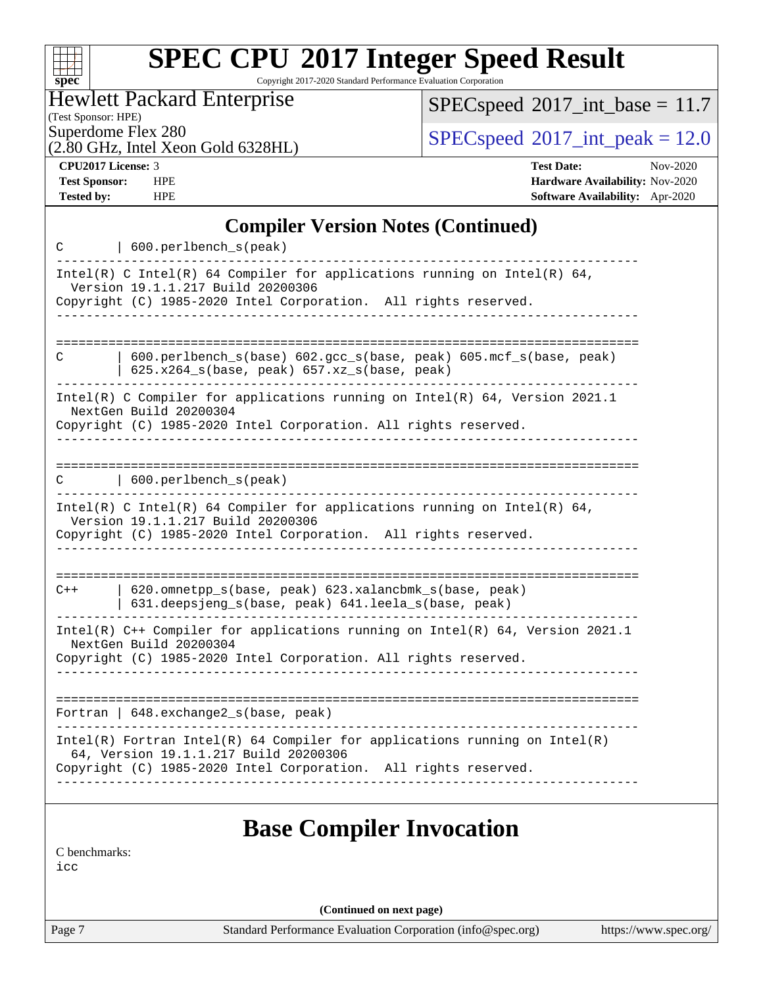| s:<br>۸ | Dе | Ľ |  |
|---------|----|---|--|

Copyright 2017-2020 Standard Performance Evaluation Corporation

Hewlett Packard Enterprise

(2.80 GHz, Intel Xeon Gold 6328HL)

 $SPEC speed$ <sup>®</sup> $2017$ \_int\_base = 11.7

(Test Sponsor: HPE)

 $SPECspeed^{\circ}2017\_int\_peak = 12.0$  $SPECspeed^{\circ}2017\_int\_peak = 12.0$ 

**[CPU2017 License:](http://www.spec.org/auto/cpu2017/Docs/result-fields.html#CPU2017License)** 3 **[Test Date:](http://www.spec.org/auto/cpu2017/Docs/result-fields.html#TestDate)** Nov-2020 **[Test Sponsor:](http://www.spec.org/auto/cpu2017/Docs/result-fields.html#TestSponsor)** HPE **[Hardware Availability:](http://www.spec.org/auto/cpu2017/Docs/result-fields.html#HardwareAvailability)** Nov-2020 **[Tested by:](http://www.spec.org/auto/cpu2017/Docs/result-fields.html#Testedby)** HPE **[Software Availability:](http://www.spec.org/auto/cpu2017/Docs/result-fields.html#SoftwareAvailability)** Apr-2020

### **[Compiler Version Notes \(Continued\)](http://www.spec.org/auto/cpu2017/Docs/result-fields.html#CompilerVersionNotes)**

| C                    | 600.perlbench_s(peak)                                                                                                                                                                                      |
|----------------------|------------------------------------------------------------------------------------------------------------------------------------------------------------------------------------------------------------|
|                      | Intel(R) C Intel(R) 64 Compiler for applications running on Intel(R) 64,<br>Version 19.1.1.217 Build 20200306<br>Copyright (C) 1985-2020 Intel Corporation. All rights reserved.                           |
|                      |                                                                                                                                                                                                            |
| C                    | 600.perlbench_s(base) 602.gcc_s(base, peak) 605.mcf_s(base, peak)<br>625.x264_s(base, peak) 657.xz_s(base, peak)                                                                                           |
|                      | Intel(R) C Compiler for applications running on $Intel(R) 64$ , Version 2021.1<br>NextGen Build 20200304<br>Copyright (C) 1985-2020 Intel Corporation. All rights reserved.                                |
|                      | $\text{C}$   600.perlbench s(peak)                                                                                                                                                                         |
|                      | Intel(R) C Intel(R) 64 Compiler for applications running on Intel(R) 64,<br>Version 19.1.1.217 Build 20200306<br>Copyright (C) 1985-2020 Intel Corporation. All rights reserved.<br>______________________ |
| $C++$                | 620.omnetpp_s(base, peak) 623.xalancbmk_s(base, peak)<br>631.deepsjeng_s(base, peak) 641.leela_s(base, peak)                                                                                               |
|                      | Intel(R) C++ Compiler for applications running on Intel(R) $64$ , Version 2021.1<br>NextGen Build 20200304<br>Copyright (C) 1985-2020 Intel Corporation. All rights reserved.                              |
|                      | Fortran   $648$ . exchange2 $s$ (base, peak)                                                                                                                                                               |
|                      | $Intel(R)$ Fortran Intel(R) 64 Compiler for applications running on Intel(R)<br>64, Version 19.1.1.217 Build 20200306<br>Copyright (C) 1985-2020 Intel Corporation. All rights reserved.                   |
|                      | <b>Base Compiler Invocation</b>                                                                                                                                                                            |
| C benchmarks:<br>icc |                                                                                                                                                                                                            |

**(Continued on next page)**

Page 7 Standard Performance Evaluation Corporation [\(info@spec.org\)](mailto:info@spec.org) <https://www.spec.org/>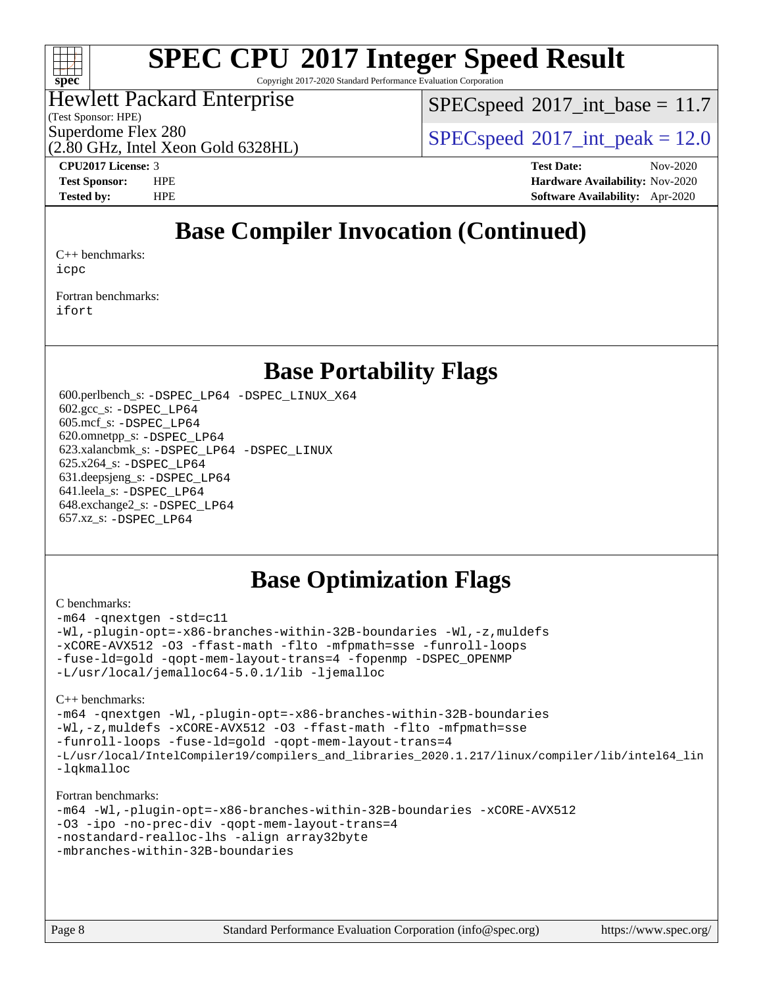

Copyright 2017-2020 Standard Performance Evaluation Corporation

### Hewlett Packard Enterprise

(Test Sponsor: HPE)

 $SPECspeed^{\circ}2017\_int\_base = 11.7$  $SPECspeed^{\circ}2017\_int\_base = 11.7$ 

Superdome Flex 280<br>  $SPEC speed^{\circ}2017$  int\_peak = 12.0

(2.80 GHz, Intel Xeon Gold 6328HL)

**[CPU2017 License:](http://www.spec.org/auto/cpu2017/Docs/result-fields.html#CPU2017License)** 3 **[Test Date:](http://www.spec.org/auto/cpu2017/Docs/result-fields.html#TestDate)** Nov-2020 **[Test Sponsor:](http://www.spec.org/auto/cpu2017/Docs/result-fields.html#TestSponsor)** HPE **[Hardware Availability:](http://www.spec.org/auto/cpu2017/Docs/result-fields.html#HardwareAvailability)** Nov-2020 **[Tested by:](http://www.spec.org/auto/cpu2017/Docs/result-fields.html#Testedby)** HPE **[Software Availability:](http://www.spec.org/auto/cpu2017/Docs/result-fields.html#SoftwareAvailability)** Apr-2020

### **[Base Compiler Invocation \(Continued\)](http://www.spec.org/auto/cpu2017/Docs/result-fields.html#BaseCompilerInvocation)**

[C++ benchmarks:](http://www.spec.org/auto/cpu2017/Docs/result-fields.html#CXXbenchmarks) [icpc](http://www.spec.org/cpu2017/results/res2020q4/cpu2017-20201207-24500.flags.html#user_CXXbase_intel_icpc_c510b6838c7f56d33e37e94d029a35b4a7bccf4766a728ee175e80a419847e808290a9b78be685c44ab727ea267ec2f070ec5dc83b407c0218cded6866a35d07)

[Fortran benchmarks](http://www.spec.org/auto/cpu2017/Docs/result-fields.html#Fortranbenchmarks): [ifort](http://www.spec.org/cpu2017/results/res2020q4/cpu2017-20201207-24500.flags.html#user_FCbase_intel_ifort_8111460550e3ca792625aed983ce982f94888b8b503583aa7ba2b8303487b4d8a21a13e7191a45c5fd58ff318f48f9492884d4413fa793fd88dd292cad7027ca)

### **[Base Portability Flags](http://www.spec.org/auto/cpu2017/Docs/result-fields.html#BasePortabilityFlags)**

 600.perlbench\_s: [-DSPEC\\_LP64](http://www.spec.org/cpu2017/results/res2020q4/cpu2017-20201207-24500.flags.html#b600.perlbench_s_basePORTABILITY_DSPEC_LP64) [-DSPEC\\_LINUX\\_X64](http://www.spec.org/cpu2017/results/res2020q4/cpu2017-20201207-24500.flags.html#b600.perlbench_s_baseCPORTABILITY_DSPEC_LINUX_X64) 602.gcc\_s: [-DSPEC\\_LP64](http://www.spec.org/cpu2017/results/res2020q4/cpu2017-20201207-24500.flags.html#suite_basePORTABILITY602_gcc_s_DSPEC_LP64) 605.mcf\_s: [-DSPEC\\_LP64](http://www.spec.org/cpu2017/results/res2020q4/cpu2017-20201207-24500.flags.html#suite_basePORTABILITY605_mcf_s_DSPEC_LP64) 620.omnetpp\_s: [-DSPEC\\_LP64](http://www.spec.org/cpu2017/results/res2020q4/cpu2017-20201207-24500.flags.html#suite_basePORTABILITY620_omnetpp_s_DSPEC_LP64) 623.xalancbmk\_s: [-DSPEC\\_LP64](http://www.spec.org/cpu2017/results/res2020q4/cpu2017-20201207-24500.flags.html#suite_basePORTABILITY623_xalancbmk_s_DSPEC_LP64) [-DSPEC\\_LINUX](http://www.spec.org/cpu2017/results/res2020q4/cpu2017-20201207-24500.flags.html#b623.xalancbmk_s_baseCXXPORTABILITY_DSPEC_LINUX) 625.x264\_s: [-DSPEC\\_LP64](http://www.spec.org/cpu2017/results/res2020q4/cpu2017-20201207-24500.flags.html#suite_basePORTABILITY625_x264_s_DSPEC_LP64) 631.deepsjeng\_s: [-DSPEC\\_LP64](http://www.spec.org/cpu2017/results/res2020q4/cpu2017-20201207-24500.flags.html#suite_basePORTABILITY631_deepsjeng_s_DSPEC_LP64) 641.leela\_s: [-DSPEC\\_LP64](http://www.spec.org/cpu2017/results/res2020q4/cpu2017-20201207-24500.flags.html#suite_basePORTABILITY641_leela_s_DSPEC_LP64) 648.exchange2\_s: [-DSPEC\\_LP64](http://www.spec.org/cpu2017/results/res2020q4/cpu2017-20201207-24500.flags.html#suite_basePORTABILITY648_exchange2_s_DSPEC_LP64) 657.xz\_s: [-DSPEC\\_LP64](http://www.spec.org/cpu2017/results/res2020q4/cpu2017-20201207-24500.flags.html#suite_basePORTABILITY657_xz_s_DSPEC_LP64)

### **[Base Optimization Flags](http://www.spec.org/auto/cpu2017/Docs/result-fields.html#BaseOptimizationFlags)**

#### [C benchmarks](http://www.spec.org/auto/cpu2017/Docs/result-fields.html#Cbenchmarks):

[-m64](http://www.spec.org/cpu2017/results/res2020q4/cpu2017-20201207-24500.flags.html#user_CCbase_m64-icc) [-qnextgen](http://www.spec.org/cpu2017/results/res2020q4/cpu2017-20201207-24500.flags.html#user_CCbase_f-qnextgen) [-std=c11](http://www.spec.org/cpu2017/results/res2020q4/cpu2017-20201207-24500.flags.html#user_CCbase_std-icc-std_0e1c27790398a4642dfca32ffe6c27b5796f9c2d2676156f2e42c9c44eaad0c049b1cdb667a270c34d979996257aeb8fc440bfb01818dbc9357bd9d174cb8524) [-Wl,-plugin-opt=-x86-branches-within-32B-boundaries](http://www.spec.org/cpu2017/results/res2020q4/cpu2017-20201207-24500.flags.html#user_CCbase_f-x86-branches-within-32B-boundaries_0098b4e4317ae60947b7b728078a624952a08ac37a3c797dfb4ffeb399e0c61a9dd0f2f44ce917e9361fb9076ccb15e7824594512dd315205382d84209e912f3) [-Wl,-z,muldefs](http://www.spec.org/cpu2017/results/res2020q4/cpu2017-20201207-24500.flags.html#user_CCbase_link_force_multiple1_b4cbdb97b34bdee9ceefcfe54f4c8ea74255f0b02a4b23e853cdb0e18eb4525ac79b5a88067c842dd0ee6996c24547a27a4b99331201badda8798ef8a743f577) [-xCORE-AVX512](http://www.spec.org/cpu2017/results/res2020q4/cpu2017-20201207-24500.flags.html#user_CCbase_f-xCORE-AVX512) [-O3](http://www.spec.org/cpu2017/results/res2020q4/cpu2017-20201207-24500.flags.html#user_CCbase_f-O3) [-ffast-math](http://www.spec.org/cpu2017/results/res2020q4/cpu2017-20201207-24500.flags.html#user_CCbase_f-ffast-math) [-flto](http://www.spec.org/cpu2017/results/res2020q4/cpu2017-20201207-24500.flags.html#user_CCbase_f-flto) [-mfpmath=sse](http://www.spec.org/cpu2017/results/res2020q4/cpu2017-20201207-24500.flags.html#user_CCbase_f-mfpmath_70eb8fac26bde974f8ab713bc9086c5621c0b8d2f6c86f38af0bd7062540daf19db5f3a066d8c6684be05d84c9b6322eb3b5be6619d967835195b93d6c02afa1) [-funroll-loops](http://www.spec.org/cpu2017/results/res2020q4/cpu2017-20201207-24500.flags.html#user_CCbase_f-funroll-loops) [-fuse-ld=gold](http://www.spec.org/cpu2017/results/res2020q4/cpu2017-20201207-24500.flags.html#user_CCbase_f-fuse-ld_920b3586e2b8c6e0748b9c84fa9b744736ba725a32cab14ad8f3d4ad28eecb2f59d1144823d2e17006539a88734fe1fc08fc3035f7676166309105a78aaabc32) [-qopt-mem-layout-trans=4](http://www.spec.org/cpu2017/results/res2020q4/cpu2017-20201207-24500.flags.html#user_CCbase_f-qopt-mem-layout-trans_fa39e755916c150a61361b7846f310bcdf6f04e385ef281cadf3647acec3f0ae266d1a1d22d972a7087a248fd4e6ca390a3634700869573d231a252c784941a8) [-fopenmp](http://www.spec.org/cpu2017/results/res2020q4/cpu2017-20201207-24500.flags.html#user_CCbase_fopenmp_5aa2e47ce4f2ef030ba5d12d5a7a9c4e57167333d78243fcadb80b48d5abb78ff19333f8478e0b2a41e63049eb285965c145ccab7b93db7d0c4d59e4dc6f5591) [-DSPEC\\_OPENMP](http://www.spec.org/cpu2017/results/res2020q4/cpu2017-20201207-24500.flags.html#suite_CCbase_DSPEC_OPENMP) [-L/usr/local/jemalloc64-5.0.1/lib](http://www.spec.org/cpu2017/results/res2020q4/cpu2017-20201207-24500.flags.html#user_CCbase_jemalloc_link_path64_1_cc289568b1a6c0fd3b62c91b824c27fcb5af5e8098e6ad028160d21144ef1b8aef3170d2acf0bee98a8da324cfe4f67d0a3d0c4cc4673d993d694dc2a0df248b) [-ljemalloc](http://www.spec.org/cpu2017/results/res2020q4/cpu2017-20201207-24500.flags.html#user_CCbase_jemalloc_link_lib_d1249b907c500fa1c0672f44f562e3d0f79738ae9e3c4a9c376d49f265a04b9c99b167ecedbf6711b3085be911c67ff61f150a17b3472be731631ba4d0471706)

#### [C++ benchmarks:](http://www.spec.org/auto/cpu2017/Docs/result-fields.html#CXXbenchmarks)

```
-m64 -qnextgen -Wl,-plugin-opt=-x86-branches-within-32B-boundaries
-Wl,-z,muldefs -xCORE-AVX512 -O3 -ffast-math -flto -mfpmath=sse
-funroll-loops -fuse-ld=gold -qopt-mem-layout-trans=4
-L/usr/local/IntelCompiler19/compilers_and_libraries_2020.1.217/linux/compiler/lib/intel64_lin
-lqkmalloc
```
#### [Fortran benchmarks:](http://www.spec.org/auto/cpu2017/Docs/result-fields.html#Fortranbenchmarks)

```
-m64 -Wl,-plugin-opt=-x86-branches-within-32B-boundaries -xCORE-AVX512
-O3 -ipo -no-prec-div -qopt-mem-layout-trans=4
-nostandard-realloc-lhs -align array32byte
-mbranches-within-32B-boundaries
```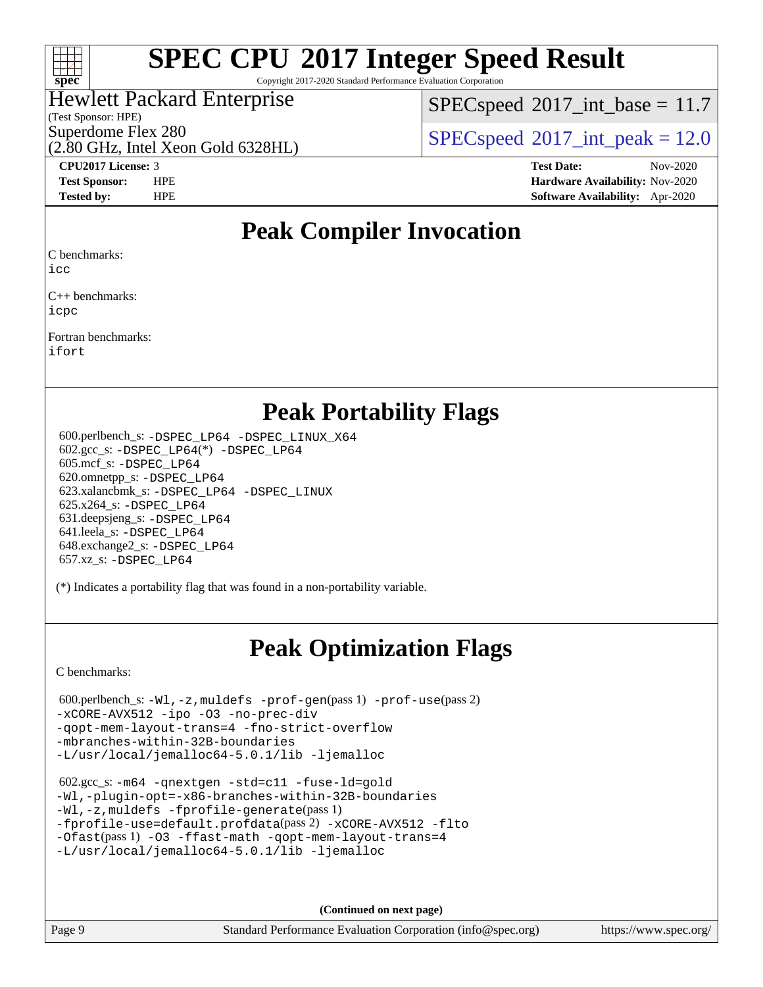

Copyright 2017-2020 Standard Performance Evaluation Corporation

### Hewlett Packard Enterprise

(2.80 GHz, Intel Xeon Gold 6328HL)

(Test Sponsor: HPE)

 $SPECspeed^{\circ}2017\_int\_base = 11.7$  $SPECspeed^{\circ}2017\_int\_base = 11.7$ 

Superdome Flex 280<br>  $SPEC speed^{\circ}2017$  int\_peak = 12.0

**[CPU2017 License:](http://www.spec.org/auto/cpu2017/Docs/result-fields.html#CPU2017License)** 3 **[Test Date:](http://www.spec.org/auto/cpu2017/Docs/result-fields.html#TestDate)** Nov-2020 **[Test Sponsor:](http://www.spec.org/auto/cpu2017/Docs/result-fields.html#TestSponsor)** HPE **[Hardware Availability:](http://www.spec.org/auto/cpu2017/Docs/result-fields.html#HardwareAvailability)** Nov-2020 **[Tested by:](http://www.spec.org/auto/cpu2017/Docs/result-fields.html#Testedby)** HPE **[Software Availability:](http://www.spec.org/auto/cpu2017/Docs/result-fields.html#SoftwareAvailability)** Apr-2020

### **[Peak Compiler Invocation](http://www.spec.org/auto/cpu2017/Docs/result-fields.html#PeakCompilerInvocation)**

[C benchmarks](http://www.spec.org/auto/cpu2017/Docs/result-fields.html#Cbenchmarks):

[icc](http://www.spec.org/cpu2017/results/res2020q4/cpu2017-20201207-24500.flags.html#user_CCpeak_intel_icc_66fc1ee009f7361af1fbd72ca7dcefbb700085f36577c54f309893dd4ec40d12360134090235512931783d35fd58c0460139e722d5067c5574d8eaf2b3e37e92)

[C++ benchmarks](http://www.spec.org/auto/cpu2017/Docs/result-fields.html#CXXbenchmarks): [icpc](http://www.spec.org/cpu2017/results/res2020q4/cpu2017-20201207-24500.flags.html#user_CXXpeak_intel_icpc_c510b6838c7f56d33e37e94d029a35b4a7bccf4766a728ee175e80a419847e808290a9b78be685c44ab727ea267ec2f070ec5dc83b407c0218cded6866a35d07)

[Fortran benchmarks:](http://www.spec.org/auto/cpu2017/Docs/result-fields.html#Fortranbenchmarks) [ifort](http://www.spec.org/cpu2017/results/res2020q4/cpu2017-20201207-24500.flags.html#user_FCpeak_intel_ifort_8111460550e3ca792625aed983ce982f94888b8b503583aa7ba2b8303487b4d8a21a13e7191a45c5fd58ff318f48f9492884d4413fa793fd88dd292cad7027ca)

### **[Peak Portability Flags](http://www.spec.org/auto/cpu2017/Docs/result-fields.html#PeakPortabilityFlags)**

 600.perlbench\_s: [-DSPEC\\_LP64](http://www.spec.org/cpu2017/results/res2020q4/cpu2017-20201207-24500.flags.html#b600.perlbench_s_peakPORTABILITY_DSPEC_LP64) [-DSPEC\\_LINUX\\_X64](http://www.spec.org/cpu2017/results/res2020q4/cpu2017-20201207-24500.flags.html#b600.perlbench_s_peakCPORTABILITY_DSPEC_LINUX_X64) 602.gcc\_s: [-DSPEC\\_LP64](http://www.spec.org/cpu2017/results/res2020q4/cpu2017-20201207-24500.flags.html#suite_peakCCLD602_gcc_s_DSPEC_LP64)(\*) [-DSPEC\\_LP64](http://www.spec.org/cpu2017/results/res2020q4/cpu2017-20201207-24500.flags.html#suite_peakPORTABILITY602_gcc_s_DSPEC_LP64) 605.mcf\_s: [-DSPEC\\_LP64](http://www.spec.org/cpu2017/results/res2020q4/cpu2017-20201207-24500.flags.html#suite_peakPORTABILITY605_mcf_s_DSPEC_LP64) 620.omnetpp\_s: [-DSPEC\\_LP64](http://www.spec.org/cpu2017/results/res2020q4/cpu2017-20201207-24500.flags.html#suite_peakPORTABILITY620_omnetpp_s_DSPEC_LP64) 623.xalancbmk\_s: [-DSPEC\\_LP64](http://www.spec.org/cpu2017/results/res2020q4/cpu2017-20201207-24500.flags.html#suite_peakPORTABILITY623_xalancbmk_s_DSPEC_LP64) [-DSPEC\\_LINUX](http://www.spec.org/cpu2017/results/res2020q4/cpu2017-20201207-24500.flags.html#b623.xalancbmk_s_peakCXXPORTABILITY_DSPEC_LINUX) 625.x264\_s: [-DSPEC\\_LP64](http://www.spec.org/cpu2017/results/res2020q4/cpu2017-20201207-24500.flags.html#suite_peakPORTABILITY625_x264_s_DSPEC_LP64) 631.deepsjeng\_s: [-DSPEC\\_LP64](http://www.spec.org/cpu2017/results/res2020q4/cpu2017-20201207-24500.flags.html#suite_peakPORTABILITY631_deepsjeng_s_DSPEC_LP64) 641.leela\_s: [-DSPEC\\_LP64](http://www.spec.org/cpu2017/results/res2020q4/cpu2017-20201207-24500.flags.html#suite_peakPORTABILITY641_leela_s_DSPEC_LP64) 648.exchange2\_s: [-DSPEC\\_LP64](http://www.spec.org/cpu2017/results/res2020q4/cpu2017-20201207-24500.flags.html#suite_peakPORTABILITY648_exchange2_s_DSPEC_LP64) 657.xz\_s: [-DSPEC\\_LP64](http://www.spec.org/cpu2017/results/res2020q4/cpu2017-20201207-24500.flags.html#suite_peakPORTABILITY657_xz_s_DSPEC_LP64)

(\*) Indicates a portability flag that was found in a non-portability variable.

# **[Peak Optimization Flags](http://www.spec.org/auto/cpu2017/Docs/result-fields.html#PeakOptimizationFlags)**

[C benchmarks](http://www.spec.org/auto/cpu2017/Docs/result-fields.html#Cbenchmarks):

```
 600.perlbench_s: -Wl,-z,muldefs -prof-gen(pass 1) -prof-use(pass 2)
-xCORE-AVX512 -ipo -O3 -no-prec-div
-qopt-mem-layout-trans=4 -fno-strict-overflow
-mbranches-within-32B-boundaries
-L/usr/local/jemalloc64-5.0.1/lib -ljemalloc
```

```
 602.gcc_s: -m64 -qnextgen -std=c11 -fuse-ld=gold
-Wl,-plugin-opt=-x86-branches-within-32B-boundaries
-Wl,-z,muldefs -fprofile-generate(pass 1)
-fprofile-use=default.profdata(pass 2) -xCORE-AVX512 -flto
-Ofast(pass 1) -O3 -ffast-math -qopt-mem-layout-trans=4
-L/usr/local/jemalloc64-5.0.1/lib -ljemalloc
```
**(Continued on next page)**